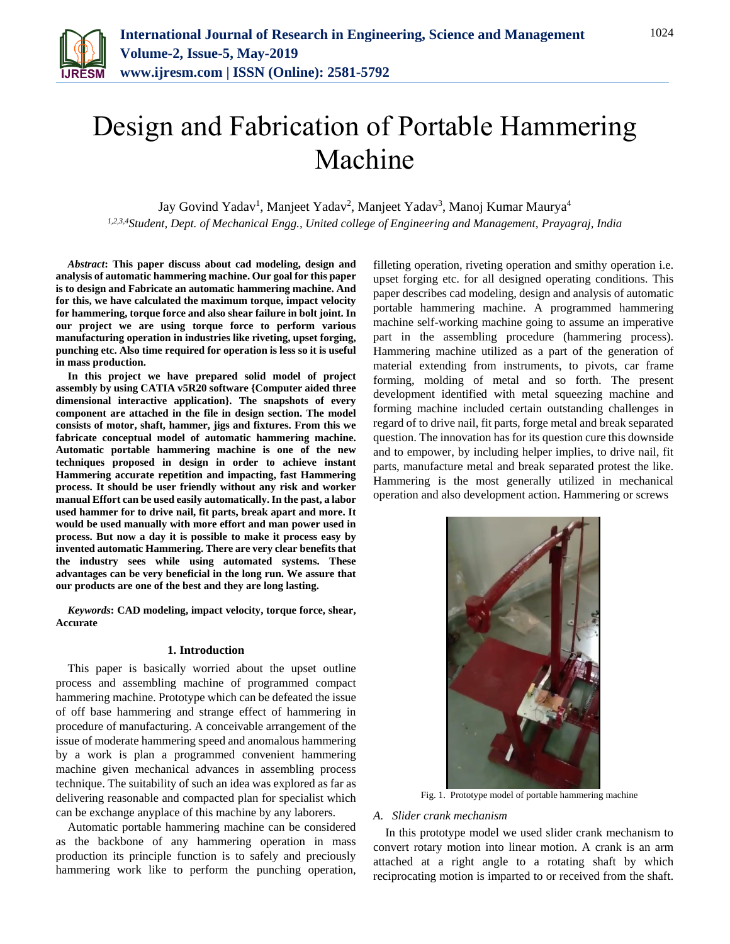

# Design and Fabrication of Portable Hammering Machine

Jay Govind Yadav<sup>1</sup>, Manjeet Yadav<sup>2</sup>, Manjeet Yadav<sup>3</sup>, Manoj Kumar Maurya<sup>4</sup>

*1,2,3,4Student, Dept. of Mechanical Engg., United college of Engineering and Management, Prayagraj, India*

*Abstract***: This paper discuss about cad modeling, design and analysis of automatic hammering machine. Our goal for this paper is to design and Fabricate an automatic hammering machine. And for this, we have calculated the maximum torque, impact velocity for hammering, torque force and also shear failure in bolt joint. In our project we are using torque force to perform various manufacturing operation in industries like riveting, upset forging, punching etc. Also time required for operation is less so it is useful in mass production.** 

**In this project we have prepared solid model of project assembly by using CATIA v5R20 software {Computer aided three dimensional interactive application}. The snapshots of every component are attached in the file in design section. The model consists of motor, shaft, hammer, jigs and fixtures. From this we fabricate conceptual model of automatic hammering machine. Automatic portable hammering machine is one of the new techniques proposed in design in order to achieve instant Hammering accurate repetition and impacting, fast Hammering process. It should be user friendly without any risk and worker manual Effort can be used easily automatically. In the past, a labor used hammer for to drive nail, fit parts, break apart and more. It would be used manually with more effort and man power used in process. But now a day it is possible to make it process easy by invented automatic Hammering. There are very clear benefits that the industry sees while using automated systems. These advantages can be very beneficial in the long run. We assure that our products are one of the best and they are long lasting.**

*Keywords***: CAD modeling, impact velocity, torque force, shear, Accurate**

### **1. Introduction**

This paper is basically worried about the upset outline process and assembling machine of programmed compact hammering machine. Prototype which can be defeated the issue of off base hammering and strange effect of hammering in procedure of manufacturing. A conceivable arrangement of the issue of moderate hammering speed and anomalous hammering by a work is plan a programmed convenient hammering machine given mechanical advances in assembling process technique. The suitability of such an idea was explored as far as delivering reasonable and compacted plan for specialist which can be exchange anyplace of this machine by any laborers.

Automatic portable hammering machine can be considered as the backbone of any hammering operation in mass production its principle function is to safely and preciously hammering work like to perform the punching operation,

filleting operation, riveting operation and smithy operation i.e. upset forging etc. for all designed operating conditions. This paper describes cad modeling, design and analysis of automatic portable hammering machine. A programmed hammering machine self-working machine going to assume an imperative part in the assembling procedure (hammering process). Hammering machine utilized as a part of the generation of material extending from instruments, to pivots, car frame forming, molding of metal and so forth. The present development identified with metal squeezing machine and forming machine included certain outstanding challenges in regard of to drive nail, fit parts, forge metal and break separated question. The innovation has for its question cure this downside and to empower, by including helper implies, to drive nail, fit parts, manufacture metal and break separated protest the like. Hammering is the most generally utilized in mechanical operation and also development action. Hammering or screws



Fig. 1. Prototype model of portable hammering machine

### *A. Slider crank mechanism*

In this prototype model we used slider crank mechanism to convert rotary motion into linear motion. A crank is an arm attached at a right angle to a rotating shaft by which reciprocating motion is imparted to or received from the shaft.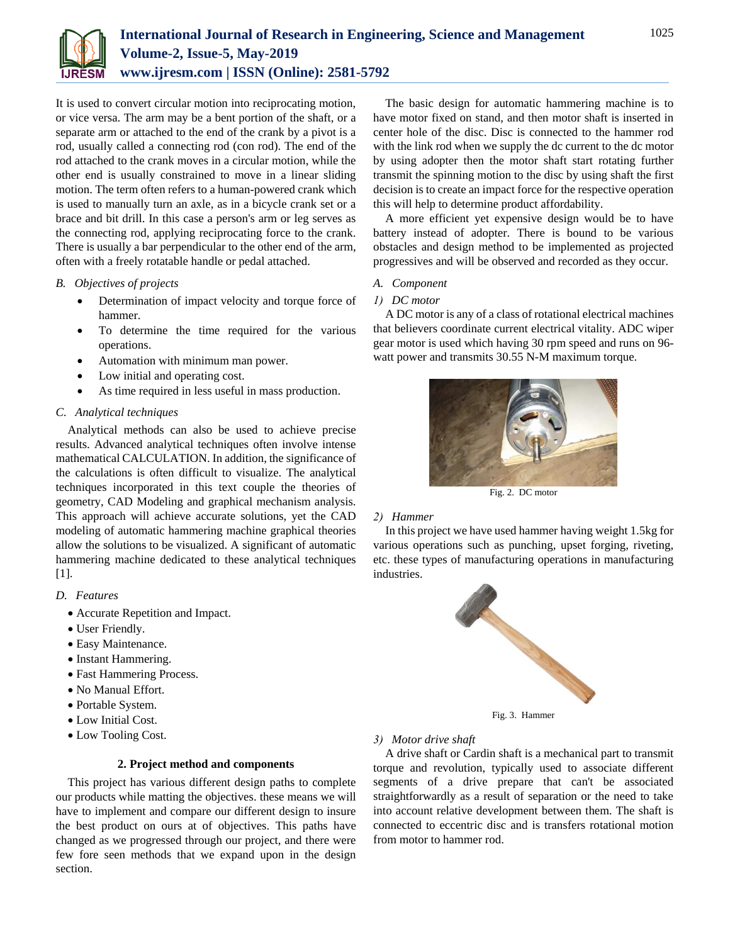

It is used to convert circular motion into reciprocating motion, or vice versa. The arm may be a bent portion of the shaft, or a separate arm or attached to the end of the crank by a pivot is a rod, usually called a connecting rod (con rod). The end of the rod attached to the crank moves in a circular motion, while the other end is usually constrained to move in a linear sliding motion. The term often refers to a human-powered crank which is used to manually turn an axle, as in a bicycle crank set or a brace and bit drill. In this case a person's arm or leg serves as the connecting rod, applying reciprocating force to the crank. There is usually a bar perpendicular to the other end of the arm, often with a freely rotatable handle or pedal attached.

## *B. Objectives of projects*

- Determination of impact velocity and torque force of hammer.
- To determine the time required for the various operations.
- Automation with minimum man power.
- Low initial and operating cost.
- As time required in less useful in mass production.

# *C. Analytical techniques*

Analytical methods can also be used to achieve precise results. Advanced analytical techniques often involve intense mathematical CALCULATION. In addition, the significance of the calculations is often difficult to visualize. The analytical techniques incorporated in this text couple the theories of geometry, CAD Modeling and graphical mechanism analysis. This approach will achieve accurate solutions, yet the CAD modeling of automatic hammering machine graphical theories allow the solutions to be visualized. A significant of automatic hammering machine dedicated to these analytical techniques [1].

# *D. Features*

- Accurate Repetition and Impact.
- User Friendly.
- Easy Maintenance.
- Instant Hammering.
- Fast Hammering Process.
- No Manual Effort.
- Portable System.
- Low Initial Cost.
- Low Tooling Cost.

### **2. Project method and components**

This project has various different design paths to complete our products while matting the objectives. these means we will have to implement and compare our different design to insure the best product on ours at of objectives. This paths have changed as we progressed through our project, and there were few fore seen methods that we expand upon in the design section.

The basic design for automatic hammering machine is to have motor fixed on stand, and then motor shaft is inserted in center hole of the disc. Disc is connected to the hammer rod with the link rod when we supply the dc current to the dc motor by using adopter then the motor shaft start rotating further transmit the spinning motion to the disc by using shaft the first decision is to create an impact force for the respective operation this will help to determine product affordability.

A more efficient yet expensive design would be to have battery instead of adopter. There is bound to be various obstacles and design method to be implemented as projected progressives and will be observed and recorded as they occur.

### *A. Component*

### *1) DC motor*

A DC motor is any of a class of rotational electrical machines that believers coordinate current electrical vitality. ADC wiper gear motor is used which having 30 rpm speed and runs on 96 watt power and transmits 30.55 N-M maximum torque.



Fig. 2. DC motor

### *2) Hammer*

In this project we have used hammer having weight 1.5kg for various operations such as punching, upset forging, riveting, etc. these types of manufacturing operations in manufacturing industries.



# *3) Motor drive shaft*

A drive shaft or Cardin shaft is a mechanical part to transmit torque and revolution, typically used to associate different segments of a drive prepare that can't be associated straightforwardly as a result of separation or the need to take into account relative development between them. The shaft is connected to eccentric disc and is transfers rotational motion from motor to hammer rod.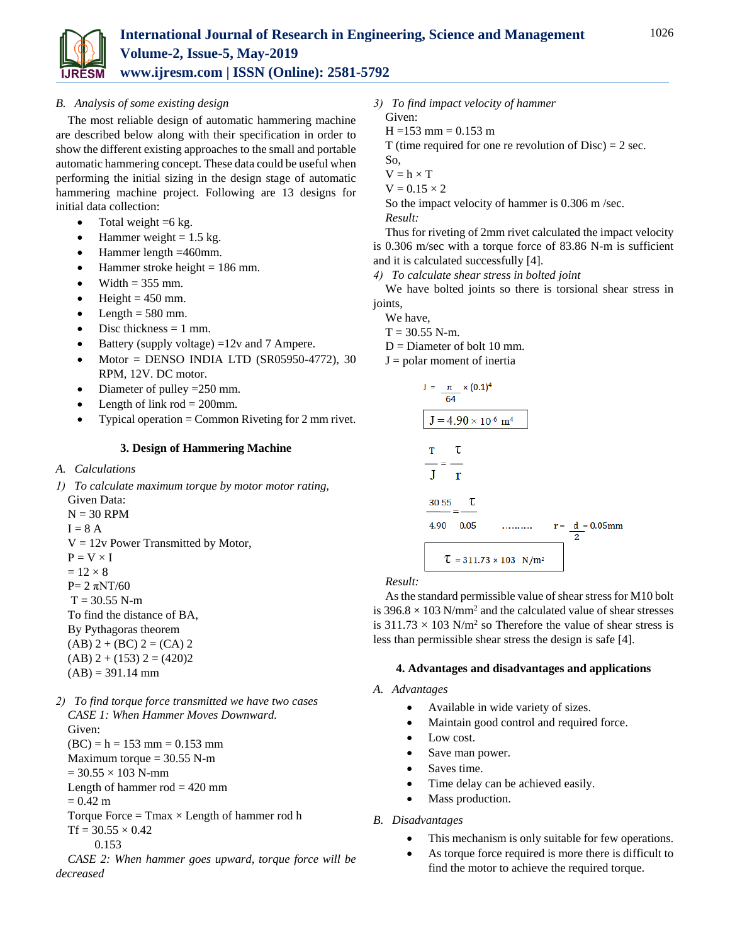

The most reliable design of automatic hammering machine are described below along with their specification in order to show the different existing approaches to the small and portable automatic hammering concept. These data could be useful when performing the initial sizing in the design stage of automatic hammering machine project. Following are 13 designs for initial data collection:

- Total weight  $=6$  kg.
- Hammer weight  $= 1.5$  kg.
- Hammer length =460mm.
- $\bullet$  Hammer stroke height = 186 mm.
- Width  $= 355$  mm.
- $\bullet$  Height = 450 mm.
- $\bullet$  Length = 580 mm.
- $\bullet$  Disc thickness = 1 mm.
- Battery (supply voltage) =12v and 7 Ampere.
- $\bullet$  Motor = DENSO INDIA LTD (SR05950-4772), 30 RPM, 12V. DC motor.
- Diameter of pulley =250 mm.
- Length of link  $rod = 200$ mm.
- Typical operation = Common Riveting for 2 mm rivet.

### **3. Design of Hammering Machine**

*A. Calculations* 

*decreased* 

- *1) To calculate maximum torque by motor motor rating,*  Given Data:
	- $N = 30$  RPM  $I = 8 A$  $V = 12v$  Power Transmitted by Motor,  $P = V \times I$  $= 12 \times 8$  $P= 2 π N T/60$  $T = 30.55$  N-m To find the distance of BA, By Pythagoras theorem  $(AB)$  2 +  $(BC)$  2 =  $(CA)$  2
- $(AB)$  2 + (153) 2 = (420)2  $(AB) = 391.14$  mm
- *2) To find torque force transmitted we have two cases CASE 1: When Hammer Moves Downward.*  Given:  $(BC) = h = 153$  mm = 0.153 mm Maximum torque  $= 30.55$  N-m  $= 30.55 \times 103$  N-mm Length of hammer  $rod = 420$  mm  $= 0.42 \text{ m}$ Torque Force =  $Tmax \times Length$  of hammer rod h  $Tf = 30.55 \times 0.42$  0.153 *CASE 2: When hammer goes upward, torque force will be*
- *3) To find impact velocity of hammer* Given:
	- $H = 153$  mm = 0.153 m
	-

T (time required for one re revolution of  $Disc$ ) = 2 sec.

- So,
- $V = h \times T$
- $V = 0.15 \times 2$

So the impact velocity of hammer is 0.306 m /sec. *Result:*

Thus for riveting of 2mm rivet calculated the impact velocity is 0.306 m/sec with a torque force of 83.86 N-m is sufficient and it is calculated successfully [4].

*4) To calculate shear stress in bolted joint* 

We have bolted joints so there is torsional shear stress in joints,

- We have,
- $T = 30.55$  N-m.
- $D =$ Diameter of bolt 10 mm.
- $J =$  polar moment of inertia



*Result:*

As the standard permissible value of shear stress for M10 bolt is  $396.8 \times 103$  N/mm<sup>2</sup> and the calculated value of shear stresses is  $311.73 \times 103$  N/m<sup>2</sup> so Therefore the value of shear stress is less than permissible shear stress the design is safe [4].

### **4. Advantages and disadvantages and applications**

- *A. Advantages* 
	- Available in wide variety of sizes.
	- Maintain good control and required force.
	- Low cost.
	- Save man power.
	- Saves time.
	- Time delay can be achieved easily.
	- Mass production.

### *B. Disadvantages*

- This mechanism is only suitable for few operations.
- As torque force required is more there is difficult to find the motor to achieve the required torque.